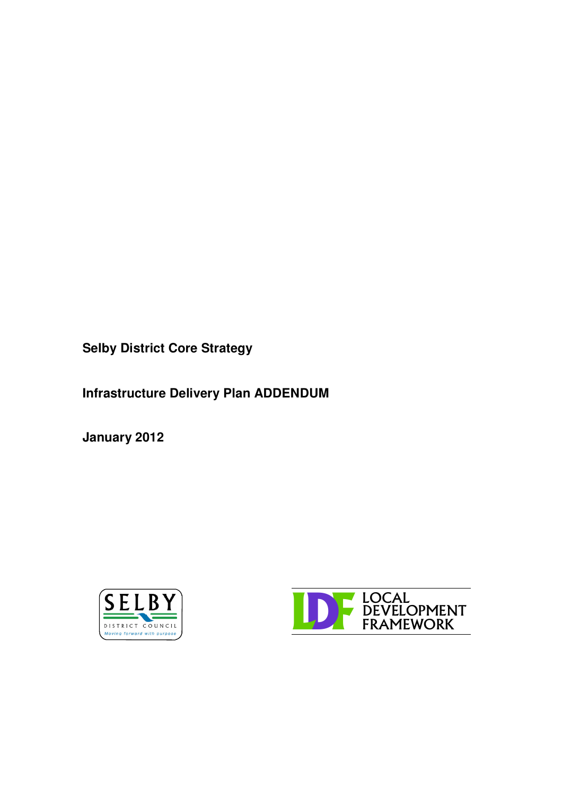**Selby District Core Strategy**

**Infrastructure Delivery Plan ADDENDUM**

**January 2012**



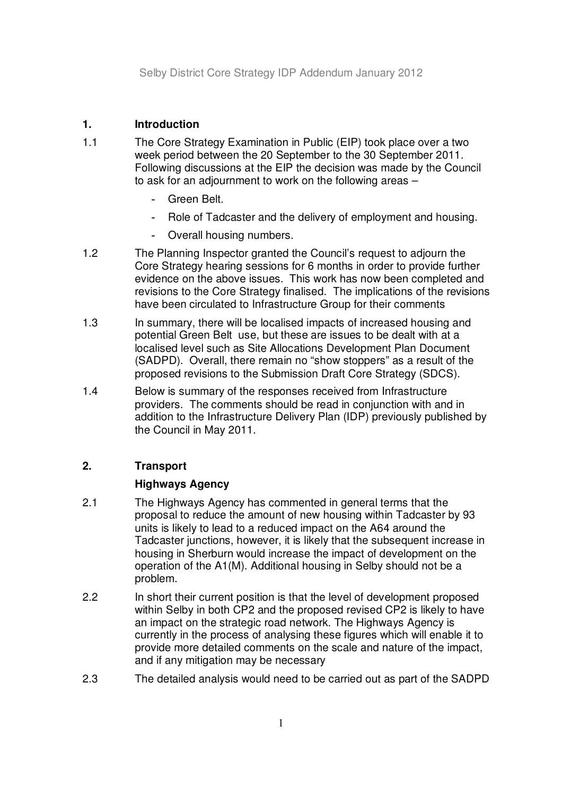# **1. Introduction**

- 1.1 The Core Strategy Examination in Public (EIP) took place over a two week period between the 20 September to the 30 September 2011. Following discussions at the EIP the decision was made by the Council to ask for an adjournment to work on the following areas –
	- Green Belt.
	- Role of Tadcaster and the delivery of employment and housing.
	- Overall housing numbers.
- 1.2 The Planning Inspector granted the Council's request to adjourn the Core Strategy hearing sessions for 6 months in order to provide further evidence on the above issues. This work has now been completed and revisions to the Core Strategy finalised. The implications of the revisions have been circulated to Infrastructure Group for their comments
- 1.3 In summary, there will be localised impacts of increased housing and potential Green Belt use, but these are issues to be dealt with at a localised level such as Site Allocations Development Plan Document (SADPD). Overall, there remain no "show stoppers" as a result of the proposed revisions to the Submission Draft Core Strategy (SDCS).
- 1.4 Below is summary of the responses received from Infrastructure providers. The comments should be read in conjunction with and in addition to the Infrastructure Delivery Plan (IDP) previously published by the Council in May 2011.

## **2. Transport**

## **Highways Agency**

- 2.1 The Highways Agency has commented in general terms that the proposal to reduce the amount of new housing within Tadcaster by 93 units is likely to lead to a reduced impact on the A64 around the Tadcaster junctions, however, it is likely that the subsequent increase in housing in Sherburn would increase the impact of development on the operation of the A1(M). Additional housing in Selby should not be a problem.
- 2.2 In short their current position is that the level of development proposed within Selby in both CP2 and the proposed revised CP2 is likely to have an impact on the strategic road network. The Highways Agency is currently in the process of analysing these figures which will enable it to provide more detailed comments on the scale and nature of the impact, and if any mitigation may be necessary
- 2.3 The detailed analysis would need to be carried out as part of the SADPD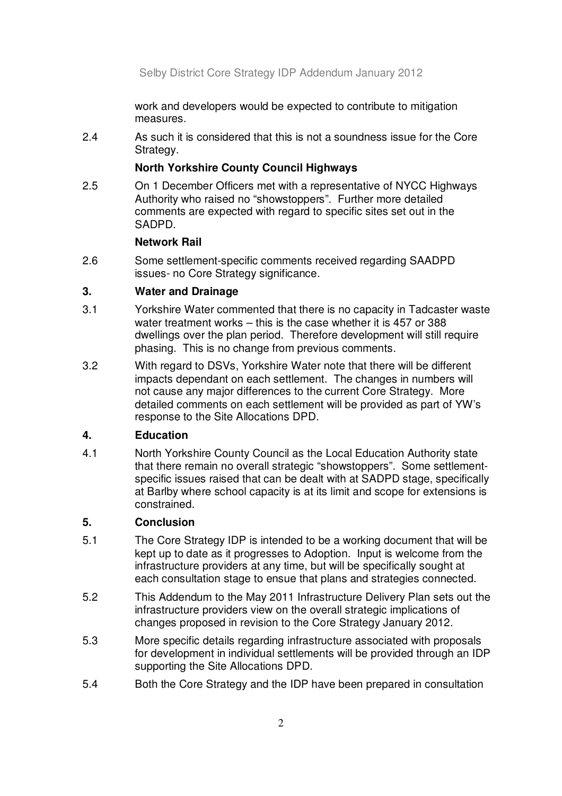work and developers would be expected to contribute to mitigation measures.

2.4 As such it is considered that this is not a soundness issue for the Core Strategy.

## **North Yorkshire County Council Highways**

2.5 On 1 December Officers met with a representative of NYCC Highways Authority who raised no "showstoppers". Further more detailed comments are expected with regard to specific sites set out in the SADPD.

### **Network Rail**

2.6 Some settlement-specific comments received regarding SAADPD issues- no Core Strategy significance.

## **3. Water and Drainage**

- 3.1 Yorkshire Water commented that there is no capacity in Tadcaster waste water treatment works – this is the case whether it is 457 or 388 dwellings over the plan period. Therefore development will still require phasing. This is no change from previous comments.
- 3.2 With regard to DSVs, Yorkshire Water note that there will be different impacts dependant on each settlement. The changes in numbers will not cause any major differences to the current Core Strategy. More detailed comments on each settlement will be provided as part of YW's response to the Site Allocations DPD.

## **4. Education**

4.1 North Yorkshire County Council as the Local Education Authority state that there remain no overall strategic "showstoppers". Some settlementspecific issues raised that can be dealt with at SADPD stage, specifically at Barlby where school capacity is at its limit and scope for extensions is constrained.

## **5. Conclusion**

- 5.1 The Core Strategy IDP is intended to be a working document that will be kept up to date as it progresses to Adoption. Input is welcome from the infrastructure providers at any time, but will be specifically sought at each consultation stage to ensue that plans and strategies connected.
- 5.2 This Addendum to the May 2011 Infrastructure Delivery Plan sets out the infrastructure providers view on the overall strategic implications of changes proposed in revision to the Core Strategy January 2012.
- 5.3 More specific details regarding infrastructure associated with proposals for development in individual settlements will be provided through an IDP supporting the Site Allocations DPD.
- 5.4 Both the Core Strategy and the IDP have been prepared in consultation